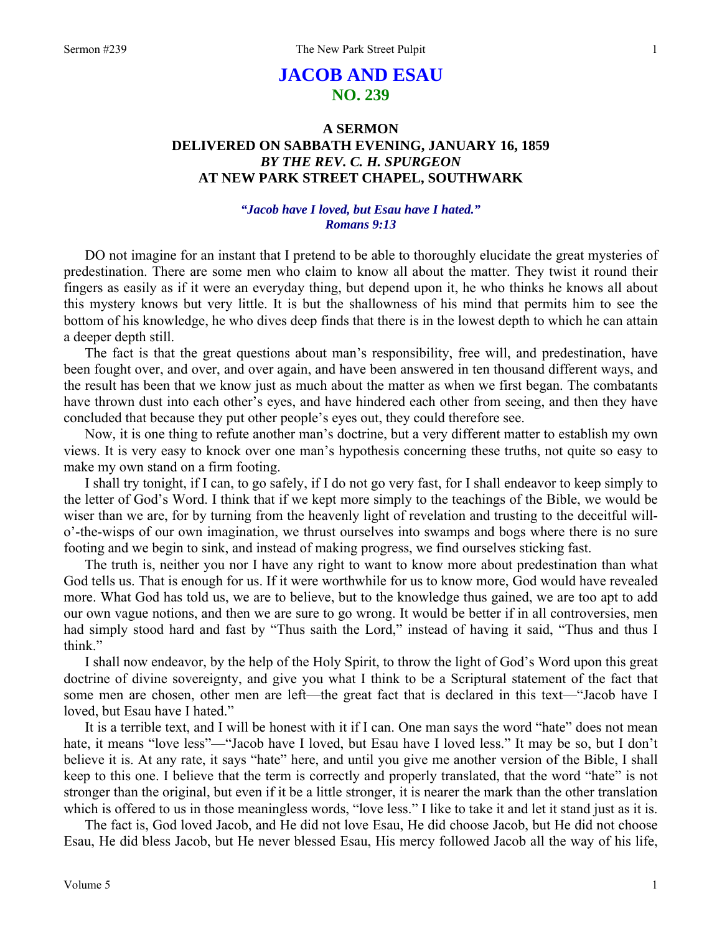## **JACOB AND ESAU NO. 239**

## **A SERMON DELIVERED ON SABBATH EVENING, JANUARY 16, 1859**  *BY THE REV. C. H. SPURGEON*  **AT NEW PARK STREET CHAPEL, SOUTHWARK**

## *"Jacob have I loved, but Esau have I hated." Romans 9:13*

DO not imagine for an instant that I pretend to be able to thoroughly elucidate the great mysteries of predestination. There are some men who claim to know all about the matter. They twist it round their fingers as easily as if it were an everyday thing, but depend upon it, he who thinks he knows all about this mystery knows but very little. It is but the shallowness of his mind that permits him to see the bottom of his knowledge, he who dives deep finds that there is in the lowest depth to which he can attain a deeper depth still.

The fact is that the great questions about man's responsibility, free will, and predestination, have been fought over, and over, and over again, and have been answered in ten thousand different ways, and the result has been that we know just as much about the matter as when we first began. The combatants have thrown dust into each other's eyes, and have hindered each other from seeing, and then they have concluded that because they put other people's eyes out, they could therefore see.

Now, it is one thing to refute another man's doctrine, but a very different matter to establish my own views. It is very easy to knock over one man's hypothesis concerning these truths, not quite so easy to make my own stand on a firm footing.

I shall try tonight, if I can, to go safely, if I do not go very fast, for I shall endeavor to keep simply to the letter of God's Word. I think that if we kept more simply to the teachings of the Bible, we would be wiser than we are, for by turning from the heavenly light of revelation and trusting to the deceitful willo'-the-wisps of our own imagination, we thrust ourselves into swamps and bogs where there is no sure footing and we begin to sink, and instead of making progress, we find ourselves sticking fast.

The truth is, neither you nor I have any right to want to know more about predestination than what God tells us. That is enough for us. If it were worthwhile for us to know more, God would have revealed more. What God has told us, we are to believe, but to the knowledge thus gained, we are too apt to add our own vague notions, and then we are sure to go wrong. It would be better if in all controversies, men had simply stood hard and fast by "Thus saith the Lord," instead of having it said, "Thus and thus I think."

I shall now endeavor, by the help of the Holy Spirit, to throw the light of God's Word upon this great doctrine of divine sovereignty, and give you what I think to be a Scriptural statement of the fact that some men are chosen, other men are left—the great fact that is declared in this text—"Jacob have I loved, but Esau have I hated."

It is a terrible text, and I will be honest with it if I can. One man says the word "hate" does not mean hate, it means "love less"—"Jacob have I loved, but Esau have I loved less." It may be so, but I don't believe it is. At any rate, it says "hate" here, and until you give me another version of the Bible, I shall keep to this one. I believe that the term is correctly and properly translated, that the word "hate" is not stronger than the original, but even if it be a little stronger, it is nearer the mark than the other translation which is offered to us in those meaningless words, "love less." I like to take it and let it stand just as it is.

The fact is, God loved Jacob, and He did not love Esau, He did choose Jacob, but He did not choose Esau, He did bless Jacob, but He never blessed Esau, His mercy followed Jacob all the way of his life,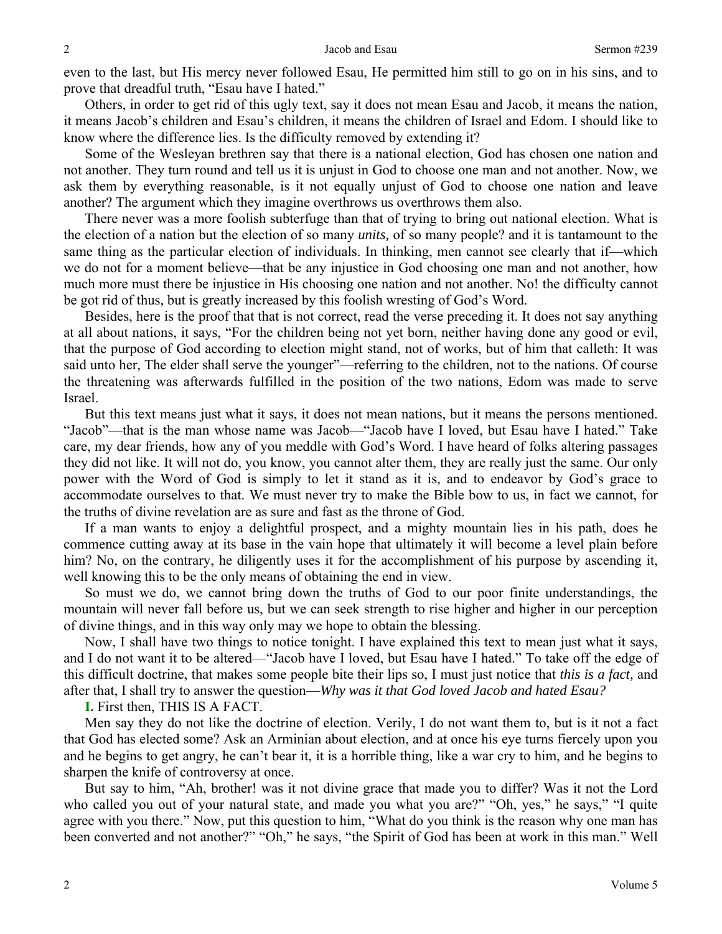even to the last, but His mercy never followed Esau, He permitted him still to go on in his sins, and to prove that dreadful truth, "Esau have I hated."

Others, in order to get rid of this ugly text, say it does not mean Esau and Jacob, it means the nation, it means Jacob's children and Esau's children, it means the children of Israel and Edom. I should like to know where the difference lies. Is the difficulty removed by extending it?

Some of the Wesleyan brethren say that there is a national election, God has chosen one nation and not another. They turn round and tell us it is unjust in God to choose one man and not another. Now, we ask them by everything reasonable, is it not equally unjust of God to choose one nation and leave another? The argument which they imagine overthrows us overthrows them also.

There never was a more foolish subterfuge than that of trying to bring out national election. What is the election of a nation but the election of so many *units,* of so many people? and it is tantamount to the same thing as the particular election of individuals. In thinking, men cannot see clearly that if—which we do not for a moment believe—that be any injustice in God choosing one man and not another, how much more must there be injustice in His choosing one nation and not another. No! the difficulty cannot be got rid of thus, but is greatly increased by this foolish wresting of God's Word.

Besides, here is the proof that that is not correct, read the verse preceding it. It does not say anything at all about nations, it says, "For the children being not yet born, neither having done any good or evil, that the purpose of God according to election might stand, not of works, but of him that calleth: It was said unto her, The elder shall serve the younger"—referring to the children, not to the nations. Of course the threatening was afterwards fulfilled in the position of the two nations, Edom was made to serve Israel.

But this text means just what it says, it does not mean nations, but it means the persons mentioned. "Jacob"—that is the man whose name was Jacob—"Jacob have I loved, but Esau have I hated." Take care, my dear friends, how any of you meddle with God's Word. I have heard of folks altering passages they did not like. It will not do, you know, you cannot alter them, they are really just the same. Our only power with the Word of God is simply to let it stand as it is, and to endeavor by God's grace to accommodate ourselves to that. We must never try to make the Bible bow to us, in fact we cannot, for the truths of divine revelation are as sure and fast as the throne of God.

If a man wants to enjoy a delightful prospect, and a mighty mountain lies in his path, does he commence cutting away at its base in the vain hope that ultimately it will become a level plain before him? No, on the contrary, he diligently uses it for the accomplishment of his purpose by ascending it, well knowing this to be the only means of obtaining the end in view.

So must we do, we cannot bring down the truths of God to our poor finite understandings, the mountain will never fall before us, but we can seek strength to rise higher and higher in our perception of divine things, and in this way only may we hope to obtain the blessing.

Now, I shall have two things to notice tonight. I have explained this text to mean just what it says, and I do not want it to be altered—"Jacob have I loved, but Esau have I hated." To take off the edge of this difficult doctrine, that makes some people bite their lips so, I must just notice that *this is a fact,* and after that, I shall try to answer the question—*Why was it that God loved Jacob and hated Esau?*

**I.** First then, THIS IS A FACT.

Men say they do not like the doctrine of election. Verily, I do not want them to, but is it not a fact that God has elected some? Ask an Arminian about election, and at once his eye turns fiercely upon you and he begins to get angry, he can't bear it, it is a horrible thing, like a war cry to him, and he begins to sharpen the knife of controversy at once.

But say to him, "Ah, brother! was it not divine grace that made you to differ? Was it not the Lord who called you out of your natural state, and made you what you are?" "Oh, yes," he says," "I quite agree with you there." Now, put this question to him, "What do you think is the reason why one man has been converted and not another?" "Oh," he says, "the Spirit of God has been at work in this man." Well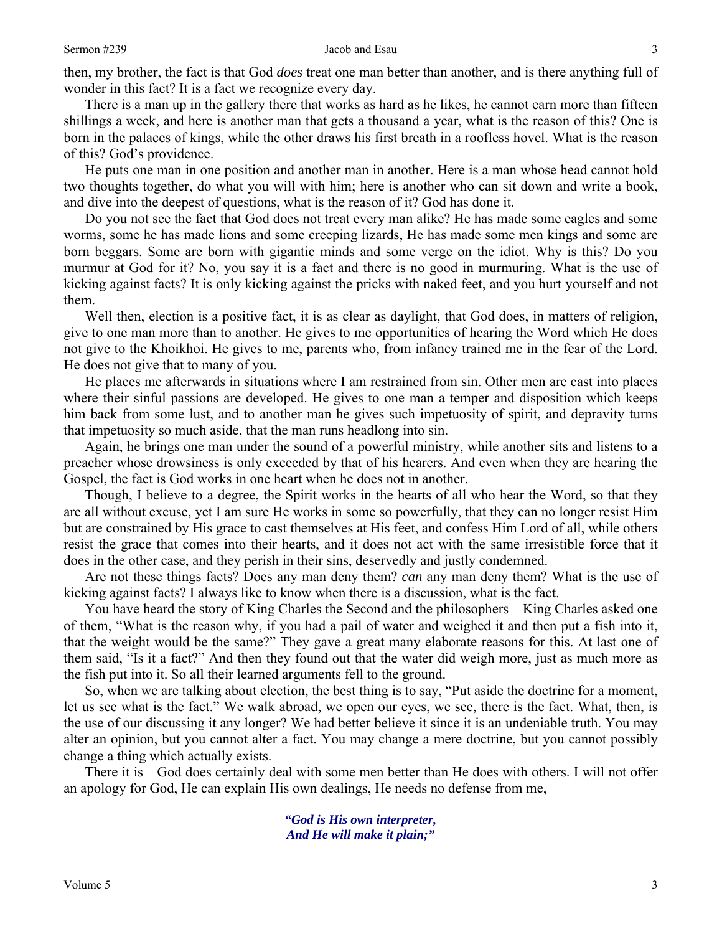then, my brother, the fact is that God *does* treat one man better than another, and is there anything full of wonder in this fact? It is a fact we recognize every day.

There is a man up in the gallery there that works as hard as he likes, he cannot earn more than fifteen shillings a week, and here is another man that gets a thousand a year, what is the reason of this? One is born in the palaces of kings, while the other draws his first breath in a roofless hovel. What is the reason of this? God's providence.

He puts one man in one position and another man in another. Here is a man whose head cannot hold two thoughts together, do what you will with him; here is another who can sit down and write a book, and dive into the deepest of questions, what is the reason of it? God has done it.

Do you not see the fact that God does not treat every man alike? He has made some eagles and some worms, some he has made lions and some creeping lizards, He has made some men kings and some are born beggars. Some are born with gigantic minds and some verge on the idiot. Why is this? Do you murmur at God for it? No, you say it is a fact and there is no good in murmuring. What is the use of kicking against facts? It is only kicking against the pricks with naked feet, and you hurt yourself and not them.

Well then, election is a positive fact, it is as clear as daylight, that God does, in matters of religion, give to one man more than to another. He gives to me opportunities of hearing the Word which He does not give to the Khoikhoi. He gives to me, parents who, from infancy trained me in the fear of the Lord. He does not give that to many of you.

He places me afterwards in situations where I am restrained from sin. Other men are cast into places where their sinful passions are developed. He gives to one man a temper and disposition which keeps him back from some lust, and to another man he gives such impetuosity of spirit, and depravity turns that impetuosity so much aside, that the man runs headlong into sin.

Again, he brings one man under the sound of a powerful ministry, while another sits and listens to a preacher whose drowsiness is only exceeded by that of his hearers. And even when they are hearing the Gospel, the fact is God works in one heart when he does not in another.

Though, I believe to a degree, the Spirit works in the hearts of all who hear the Word, so that they are all without excuse, yet I am sure He works in some so powerfully, that they can no longer resist Him but are constrained by His grace to cast themselves at His feet, and confess Him Lord of all, while others resist the grace that comes into their hearts, and it does not act with the same irresistible force that it does in the other case, and they perish in their sins, deservedly and justly condemned.

Are not these things facts? Does any man deny them? *can* any man deny them? What is the use of kicking against facts? I always like to know when there is a discussion, what is the fact.

You have heard the story of King Charles the Second and the philosophers—King Charles asked one of them, "What is the reason why, if you had a pail of water and weighed it and then put a fish into it, that the weight would be the same?" They gave a great many elaborate reasons for this. At last one of them said, "Is it a fact?" And then they found out that the water did weigh more, just as much more as the fish put into it. So all their learned arguments fell to the ground.

So, when we are talking about election, the best thing is to say, "Put aside the doctrine for a moment, let us see what is the fact." We walk abroad, we open our eyes, we see, there is the fact. What, then, is the use of our discussing it any longer? We had better believe it since it is an undeniable truth. You may alter an opinion, but you cannot alter a fact. You may change a mere doctrine, but you cannot possibly change a thing which actually exists.

There it is—God does certainly deal with some men better than He does with others. I will not offer an apology for God, He can explain His own dealings, He needs no defense from me,

> *"God is His own interpreter, And He will make it plain;"*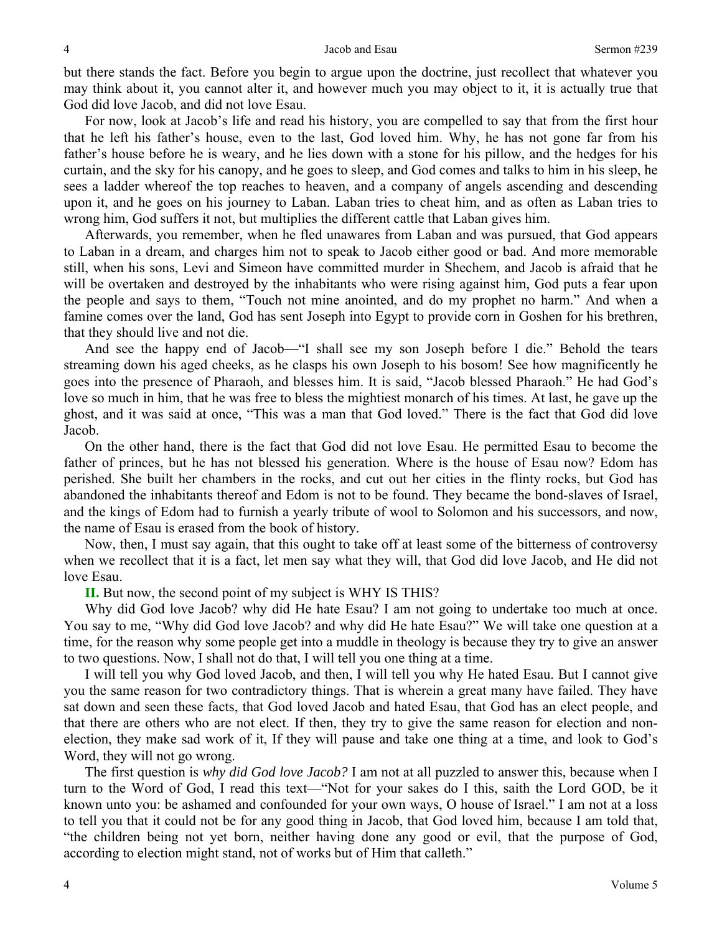but there stands the fact. Before you begin to argue upon the doctrine, just recollect that whatever you may think about it, you cannot alter it, and however much you may object to it, it is actually true that God did love Jacob, and did not love Esau.

For now, look at Jacob's life and read his history, you are compelled to say that from the first hour that he left his father's house, even to the last, God loved him. Why, he has not gone far from his father's house before he is weary, and he lies down with a stone for his pillow, and the hedges for his curtain, and the sky for his canopy, and he goes to sleep, and God comes and talks to him in his sleep, he sees a ladder whereof the top reaches to heaven, and a company of angels ascending and descending upon it, and he goes on his journey to Laban. Laban tries to cheat him, and as often as Laban tries to wrong him, God suffers it not, but multiplies the different cattle that Laban gives him.

Afterwards, you remember, when he fled unawares from Laban and was pursued, that God appears to Laban in a dream, and charges him not to speak to Jacob either good or bad. And more memorable still, when his sons, Levi and Simeon have committed murder in Shechem, and Jacob is afraid that he will be overtaken and destroyed by the inhabitants who were rising against him, God puts a fear upon the people and says to them, "Touch not mine anointed, and do my prophet no harm." And when a famine comes over the land, God has sent Joseph into Egypt to provide corn in Goshen for his brethren, that they should live and not die.

And see the happy end of Jacob—"I shall see my son Joseph before I die." Behold the tears streaming down his aged cheeks, as he clasps his own Joseph to his bosom! See how magnificently he goes into the presence of Pharaoh, and blesses him. It is said, "Jacob blessed Pharaoh." He had God's love so much in him, that he was free to bless the mightiest monarch of his times. At last, he gave up the ghost, and it was said at once, "This was a man that God loved." There is the fact that God did love Jacob.

On the other hand, there is the fact that God did not love Esau. He permitted Esau to become the father of princes, but he has not blessed his generation. Where is the house of Esau now? Edom has perished. She built her chambers in the rocks, and cut out her cities in the flinty rocks, but God has abandoned the inhabitants thereof and Edom is not to be found. They became the bond-slaves of Israel, and the kings of Edom had to furnish a yearly tribute of wool to Solomon and his successors, and now, the name of Esau is erased from the book of history.

Now, then, I must say again, that this ought to take off at least some of the bitterness of controversy when we recollect that it is a fact, let men say what they will, that God did love Jacob, and He did not love Esau.

**II.** But now, the second point of my subject is WHY IS THIS?

Why did God love Jacob? why did He hate Esau? I am not going to undertake too much at once. You say to me, "Why did God love Jacob? and why did He hate Esau?" We will take one question at a time, for the reason why some people get into a muddle in theology is because they try to give an answer to two questions. Now, I shall not do that, I will tell you one thing at a time.

I will tell you why God loved Jacob, and then, I will tell you why He hated Esau. But I cannot give you the same reason for two contradictory things. That is wherein a great many have failed. They have sat down and seen these facts, that God loved Jacob and hated Esau, that God has an elect people, and that there are others who are not elect. If then, they try to give the same reason for election and nonelection, they make sad work of it, If they will pause and take one thing at a time, and look to God's Word, they will not go wrong.

The first question is *why did God love Jacob?* I am not at all puzzled to answer this, because when I turn to the Word of God, I read this text—"Not for your sakes do I this, saith the Lord GOD, be it known unto you: be ashamed and confounded for your own ways, O house of Israel." I am not at a loss to tell you that it could not be for any good thing in Jacob, that God loved him, because I am told that, "the children being not yet born, neither having done any good or evil, that the purpose of God, according to election might stand, not of works but of Him that calleth."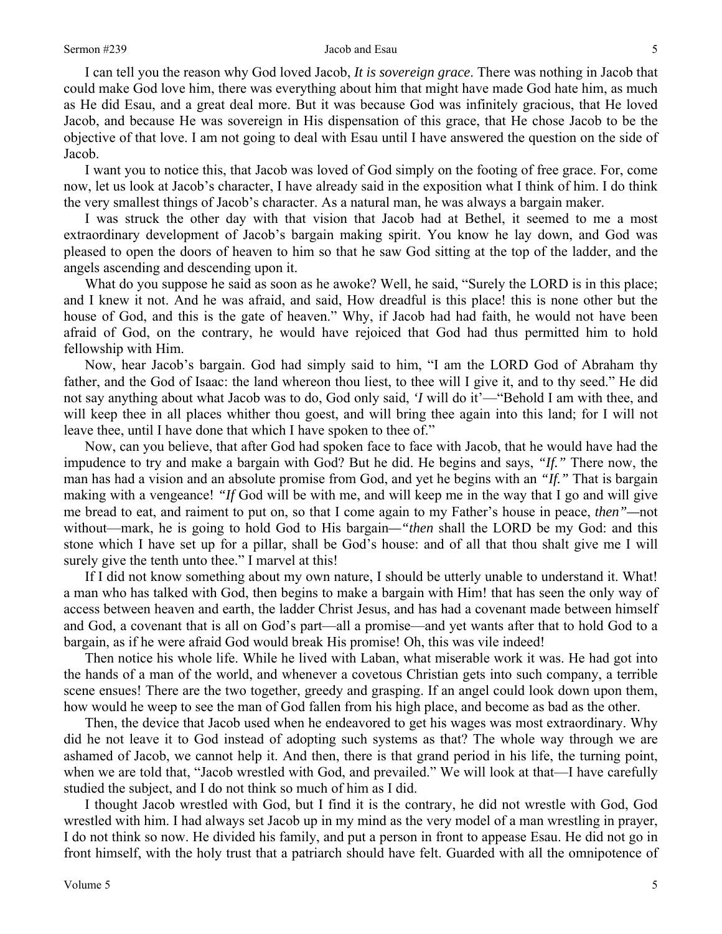I can tell you the reason why God loved Jacob, *It is sovereign grace*. There was nothing in Jacob that could make God love him, there was everything about him that might have made God hate him, as much as He did Esau, and a great deal more. But it was because God was infinitely gracious, that He loved Jacob, and because He was sovereign in His dispensation of this grace, that He chose Jacob to be the objective of that love. I am not going to deal with Esau until I have answered the question on the side of Jacob.

I want you to notice this, that Jacob was loved of God simply on the footing of free grace. For, come now, let us look at Jacob's character, I have already said in the exposition what I think of him. I do think the very smallest things of Jacob's character. As a natural man, he was always a bargain maker.

I was struck the other day with that vision that Jacob had at Bethel, it seemed to me a most extraordinary development of Jacob's bargain making spirit. You know he lay down, and God was pleased to open the doors of heaven to him so that he saw God sitting at the top of the ladder, and the angels ascending and descending upon it.

What do you suppose he said as soon as he awoke? Well, he said, "Surely the LORD is in this place; and I knew it not. And he was afraid, and said, How dreadful is this place! this is none other but the house of God, and this is the gate of heaven." Why, if Jacob had had faith, he would not have been afraid of God, on the contrary, he would have rejoiced that God had thus permitted him to hold fellowship with Him.

Now, hear Jacob's bargain. God had simply said to him, "I am the LORD God of Abraham thy father, and the God of Isaac: the land whereon thou liest, to thee will I give it, and to thy seed." He did not say anything about what Jacob was to do, God only said, *'I* will do it'—"Behold I am with thee, and will keep thee in all places whither thou goest, and will bring thee again into this land; for I will not leave thee, until I have done that which I have spoken to thee of."

Now, can you believe, that after God had spoken face to face with Jacob, that he would have had the impudence to try and make a bargain with God? But he did. He begins and says, *"If."* There now, the man has had a vision and an absolute promise from God, and yet he begins with an *"If."* That is bargain making with a vengeance! *"If* God will be with me, and will keep me in the way that I go and will give me bread to eat, and raiment to put on, so that I come again to my Father's house in peace, *then"—*not without—mark, he is going to hold God to His bargain*—"then* shall the LORD be my God: and this stone which I have set up for a pillar, shall be God's house: and of all that thou shalt give me I will surely give the tenth unto thee." I marvel at this!

If I did not know something about my own nature, I should be utterly unable to understand it. What! a man who has talked with God, then begins to make a bargain with Him! that has seen the only way of access between heaven and earth, the ladder Christ Jesus, and has had a covenant made between himself and God, a covenant that is all on God's part—all a promise—and yet wants after that to hold God to a bargain, as if he were afraid God would break His promise! Oh, this was vile indeed!

Then notice his whole life. While he lived with Laban, what miserable work it was. He had got into the hands of a man of the world, and whenever a covetous Christian gets into such company, a terrible scene ensues! There are the two together, greedy and grasping. If an angel could look down upon them, how would he weep to see the man of God fallen from his high place, and become as bad as the other.

Then, the device that Jacob used when he endeavored to get his wages was most extraordinary. Why did he not leave it to God instead of adopting such systems as that? The whole way through we are ashamed of Jacob, we cannot help it. And then, there is that grand period in his life, the turning point, when we are told that, "Jacob wrestled with God, and prevailed." We will look at that—I have carefully studied the subject, and I do not think so much of him as I did.

I thought Jacob wrestled with God, but I find it is the contrary, he did not wrestle with God, God wrestled with him. I had always set Jacob up in my mind as the very model of a man wrestling in prayer, I do not think so now. He divided his family, and put a person in front to appease Esau. He did not go in front himself, with the holy trust that a patriarch should have felt. Guarded with all the omnipotence of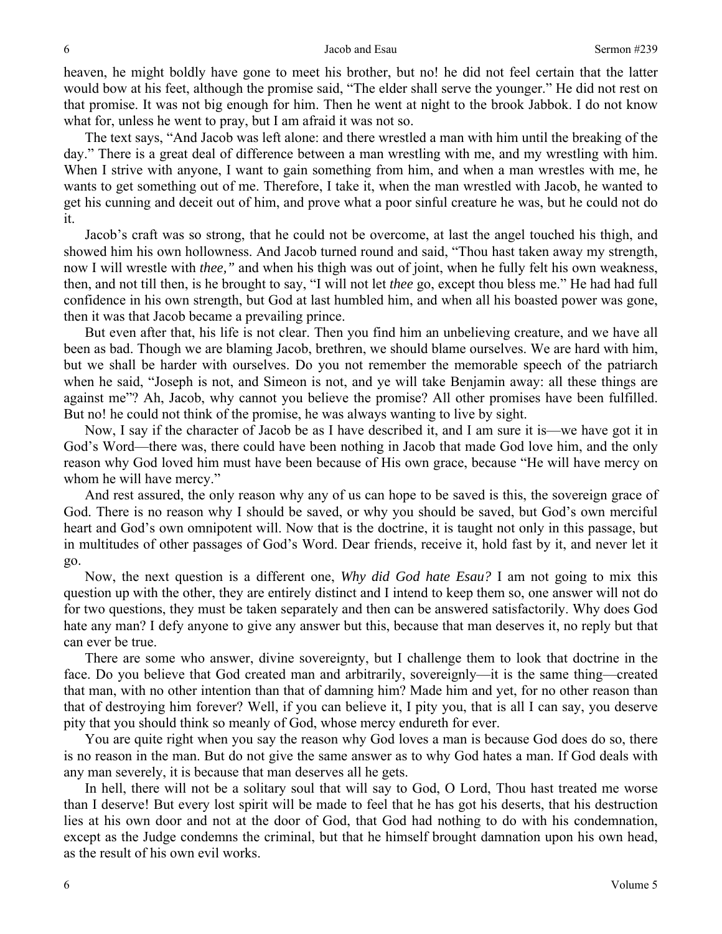heaven, he might boldly have gone to meet his brother, but no! he did not feel certain that the latter would bow at his feet, although the promise said, "The elder shall serve the younger." He did not rest on that promise. It was not big enough for him. Then he went at night to the brook Jabbok. I do not know what for, unless he went to pray, but I am afraid it was not so.

The text says, "And Jacob was left alone: and there wrestled a man with him until the breaking of the day." There is a great deal of difference between a man wrestling with me, and my wrestling with him. When I strive with anyone, I want to gain something from him, and when a man wrestles with me, he wants to get something out of me. Therefore, I take it, when the man wrestled with Jacob, he wanted to get his cunning and deceit out of him, and prove what a poor sinful creature he was, but he could not do it.

Jacob's craft was so strong, that he could not be overcome, at last the angel touched his thigh, and showed him his own hollowness. And Jacob turned round and said, "Thou hast taken away my strength, now I will wrestle with *thee,"* and when his thigh was out of joint, when he fully felt his own weakness, then, and not till then, is he brought to say, "I will not let *thee* go, except thou bless me." He had had full confidence in his own strength, but God at last humbled him, and when all his boasted power was gone, then it was that Jacob became a prevailing prince.

But even after that, his life is not clear. Then you find him an unbelieving creature, and we have all been as bad. Though we are blaming Jacob, brethren, we should blame ourselves. We are hard with him, but we shall be harder with ourselves. Do you not remember the memorable speech of the patriarch when he said, "Joseph is not, and Simeon is not, and ye will take Benjamin away: all these things are against me"? Ah, Jacob, why cannot you believe the promise? All other promises have been fulfilled. But no! he could not think of the promise, he was always wanting to live by sight.

Now, I say if the character of Jacob be as I have described it, and I am sure it is—we have got it in God's Word—there was, there could have been nothing in Jacob that made God love him, and the only reason why God loved him must have been because of His own grace, because "He will have mercy on whom he will have mercy."

And rest assured, the only reason why any of us can hope to be saved is this, the sovereign grace of God. There is no reason why I should be saved, or why you should be saved, but God's own merciful heart and God's own omnipotent will. Now that is the doctrine, it is taught not only in this passage, but in multitudes of other passages of God's Word. Dear friends, receive it, hold fast by it, and never let it go.

Now, the next question is a different one, *Why did God hate Esau?* I am not going to mix this question up with the other, they are entirely distinct and I intend to keep them so, one answer will not do for two questions, they must be taken separately and then can be answered satisfactorily. Why does God hate any man? I defy anyone to give any answer but this, because that man deserves it, no reply but that can ever be true.

There are some who answer, divine sovereignty, but I challenge them to look that doctrine in the face. Do you believe that God created man and arbitrarily, sovereignly—it is the same thing—created that man, with no other intention than that of damning him? Made him and yet, for no other reason than that of destroying him forever? Well, if you can believe it, I pity you, that is all I can say, you deserve pity that you should think so meanly of God, whose mercy endureth for ever.

You are quite right when you say the reason why God loves a man is because God does do so, there is no reason in the man. But do not give the same answer as to why God hates a man. If God deals with any man severely, it is because that man deserves all he gets.

In hell, there will not be a solitary soul that will say to God, O Lord, Thou hast treated me worse than I deserve! But every lost spirit will be made to feel that he has got his deserts, that his destruction lies at his own door and not at the door of God, that God had nothing to do with his condemnation, except as the Judge condemns the criminal, but that he himself brought damnation upon his own head, as the result of his own evil works.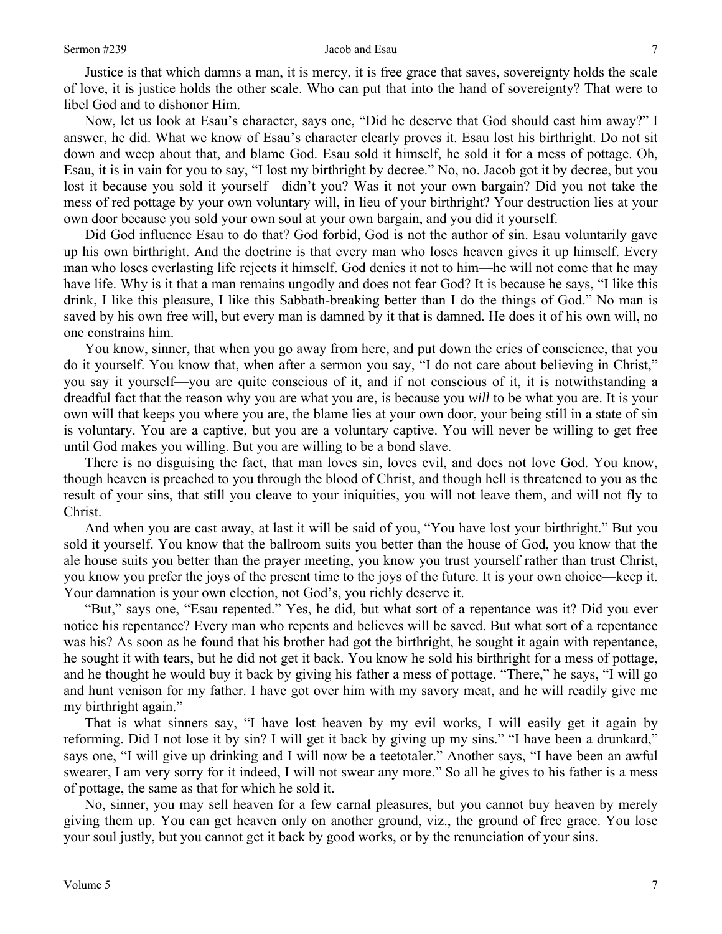Justice is that which damns a man, it is mercy, it is free grace that saves, sovereignty holds the scale of love, it is justice holds the other scale. Who can put that into the hand of sovereignty? That were to libel God and to dishonor Him.

Now, let us look at Esau's character, says one, "Did he deserve that God should cast him away?" I answer, he did. What we know of Esau's character clearly proves it. Esau lost his birthright. Do not sit down and weep about that, and blame God. Esau sold it himself, he sold it for a mess of pottage. Oh, Esau, it is in vain for you to say, "I lost my birthright by decree." No, no. Jacob got it by decree, but you lost it because you sold it yourself—didn't you? Was it not your own bargain? Did you not take the mess of red pottage by your own voluntary will, in lieu of your birthright? Your destruction lies at your own door because you sold your own soul at your own bargain, and you did it yourself.

Did God influence Esau to do that? God forbid, God is not the author of sin. Esau voluntarily gave up his own birthright. And the doctrine is that every man who loses heaven gives it up himself. Every man who loses everlasting life rejects it himself. God denies it not to him—he will not come that he may have life. Why is it that a man remains ungodly and does not fear God? It is because he says, "I like this drink, I like this pleasure, I like this Sabbath-breaking better than I do the things of God." No man is saved by his own free will, but every man is damned by it that is damned. He does it of his own will, no one constrains him.

You know, sinner, that when you go away from here, and put down the cries of conscience, that you do it yourself. You know that, when after a sermon you say, "I do not care about believing in Christ," you say it yourself—you are quite conscious of it, and if not conscious of it, it is notwithstanding a dreadful fact that the reason why you are what you are, is because you *will* to be what you are. It is your own will that keeps you where you are, the blame lies at your own door, your being still in a state of sin is voluntary. You are a captive, but you are a voluntary captive. You will never be willing to get free until God makes you willing. But you are willing to be a bond slave.

There is no disguising the fact, that man loves sin, loves evil, and does not love God. You know, though heaven is preached to you through the blood of Christ, and though hell is threatened to you as the result of your sins, that still you cleave to your iniquities, you will not leave them, and will not fly to Christ.

And when you are cast away, at last it will be said of you, "You have lost your birthright." But you sold it yourself. You know that the ballroom suits you better than the house of God, you know that the ale house suits you better than the prayer meeting, you know you trust yourself rather than trust Christ, you know you prefer the joys of the present time to the joys of the future. It is your own choice—keep it. Your damnation is your own election, not God's, you richly deserve it.

"But," says one, "Esau repented." Yes, he did, but what sort of a repentance was it? Did you ever notice his repentance? Every man who repents and believes will be saved. But what sort of a repentance was his? As soon as he found that his brother had got the birthright, he sought it again with repentance, he sought it with tears, but he did not get it back. You know he sold his birthright for a mess of pottage, and he thought he would buy it back by giving his father a mess of pottage. "There," he says, "I will go and hunt venison for my father. I have got over him with my savory meat, and he will readily give me my birthright again."

That is what sinners say, "I have lost heaven by my evil works, I will easily get it again by reforming. Did I not lose it by sin? I will get it back by giving up my sins." "I have been a drunkard," says one, "I will give up drinking and I will now be a teetotaler." Another says, "I have been an awful swearer, I am very sorry for it indeed, I will not swear any more." So all he gives to his father is a mess of pottage, the same as that for which he sold it.

No, sinner, you may sell heaven for a few carnal pleasures, but you cannot buy heaven by merely giving them up. You can get heaven only on another ground, viz., the ground of free grace. You lose your soul justly, but you cannot get it back by good works, or by the renunciation of your sins.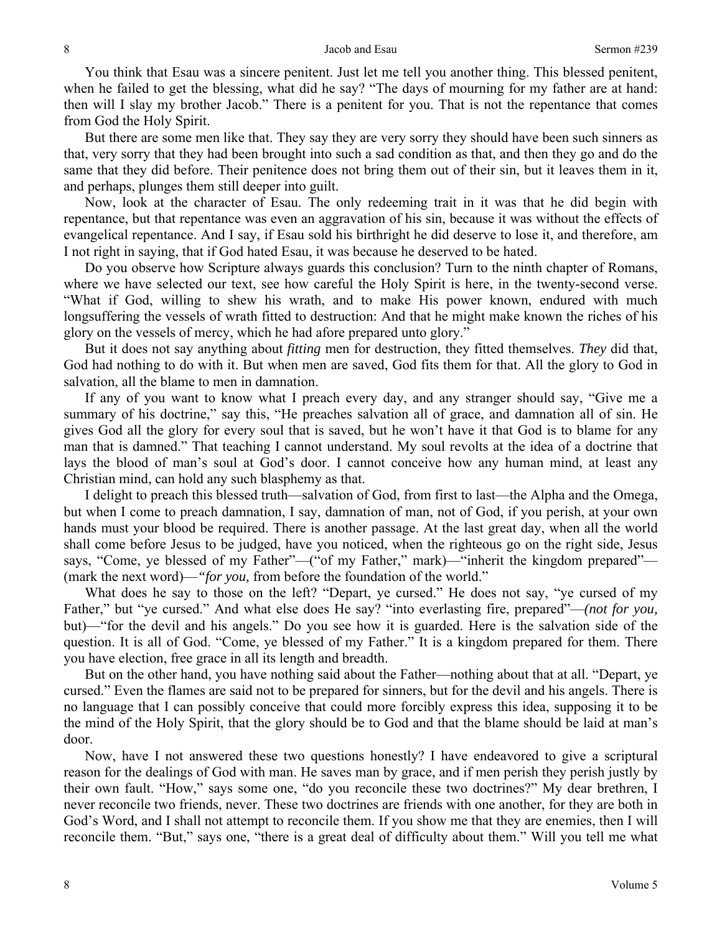You think that Esau was a sincere penitent. Just let me tell you another thing. This blessed penitent, when he failed to get the blessing, what did he say? "The days of mourning for my father are at hand: then will I slay my brother Jacob." There is a penitent for you. That is not the repentance that comes from God the Holy Spirit.

But there are some men like that. They say they are very sorry they should have been such sinners as that, very sorry that they had been brought into such a sad condition as that, and then they go and do the same that they did before. Their penitence does not bring them out of their sin, but it leaves them in it, and perhaps, plunges them still deeper into guilt.

Now, look at the character of Esau. The only redeeming trait in it was that he did begin with repentance, but that repentance was even an aggravation of his sin, because it was without the effects of evangelical repentance. And I say, if Esau sold his birthright he did deserve to lose it, and therefore, am I not right in saying, that if God hated Esau, it was because he deserved to be hated.

Do you observe how Scripture always guards this conclusion? Turn to the ninth chapter of Romans, where we have selected our text, see how careful the Holy Spirit is here, in the twenty-second verse. "What if God, willing to shew his wrath, and to make His power known, endured with much longsuffering the vessels of wrath fitted to destruction: And that he might make known the riches of his glory on the vessels of mercy, which he had afore prepared unto glory."

But it does not say anything about *fitting* men for destruction, they fitted themselves. *They* did that, God had nothing to do with it. But when men are saved, God fits them for that. All the glory to God in salvation, all the blame to men in damnation.

If any of you want to know what I preach every day, and any stranger should say, "Give me a summary of his doctrine," say this, "He preaches salvation all of grace, and damnation all of sin. He gives God all the glory for every soul that is saved, but he won't have it that God is to blame for any man that is damned." That teaching I cannot understand. My soul revolts at the idea of a doctrine that lays the blood of man's soul at God's door. I cannot conceive how any human mind, at least any Christian mind, can hold any such blasphemy as that.

I delight to preach this blessed truth—salvation of God, from first to last—the Alpha and the Omega, but when I come to preach damnation, I say, damnation of man, not of God, if you perish, at your own hands must your blood be required. There is another passage. At the last great day, when all the world shall come before Jesus to be judged, have you noticed, when the righteous go on the right side, Jesus says, "Come, ye blessed of my Father"—("of my Father," mark)—"inherit the kingdom prepared"— (mark the next word)—*"for you,* from before the foundation of the world."

What does he say to those on the left? "Depart, ye cursed." He does not say, "ye cursed of my Father," but "ye cursed." And what else does He say? "into everlasting fire, prepared"—*(not for you,* but)—"for the devil and his angels." Do you see how it is guarded. Here is the salvation side of the question. It is all of God. "Come, ye blessed of my Father." It is a kingdom prepared for them. There you have election, free grace in all its length and breadth.

But on the other hand, you have nothing said about the Father—nothing about that at all. "Depart, ye cursed." Even the flames are said not to be prepared for sinners, but for the devil and his angels. There is no language that I can possibly conceive that could more forcibly express this idea, supposing it to be the mind of the Holy Spirit, that the glory should be to God and that the blame should be laid at man's door.

Now, have I not answered these two questions honestly? I have endeavored to give a scriptural reason for the dealings of God with man. He saves man by grace, and if men perish they perish justly by their own fault. "How," says some one, "do you reconcile these two doctrines?" My dear brethren, I never reconcile two friends, never. These two doctrines are friends with one another, for they are both in God's Word, and I shall not attempt to reconcile them. If you show me that they are enemies, then I will reconcile them. "But," says one, "there is a great deal of difficulty about them." Will you tell me what